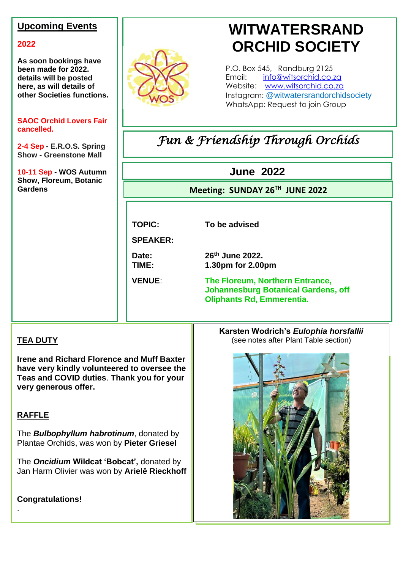### **Upcoming Events**

### **2022**

**As soon bookings have been made for 2022. details will be posted here, as will details of other Societies functions.**

### **SAOC Orchid Lovers Fair cancelled.**

**2-4 Sep - E.R.O.S. Spring Show - Greenstone Mall**

# **10-11 Sep - WOS Autumn Show, Floreum, Botanic**



# **WITWATERSRAND ORCHID SOCIETY**

P.O. Box 545, Randburg 2125 Email: [info@witsorchid.co.za](mailto:info@witsorchid.co.za) Website: [www.witsorchid.co.za](http://www.witsorchid.co.za/) Instagram: @witwatersrandorchidsociety WhatsApp: Request to join Group

# *Fun & Friendship Through Orchids*

### **June 2022**

# **Gardens CONSISTENT CONSISTENT CONSISTENT CONSISTENT CONSISTENT CONSISTENT CONSISTENT CONSISTENT CONSISTENT CONSISTING CONSISTENT CONSISTENT CONSISTENT CONSISTENT CONSISTENT CONSISTENT CONSISTENT CONSISTENT CONSISTENT CO**

**TOPIC: To be advised**

**SPEAKER:**

Date:

**th June 2022. TIME: 1.30pm for 2.00pm**

**Oliphants Rd, Emmerentia. VENUE**: **The Floreum, Northern Entrance, Johannesburg Botanical Gardens, off** 

**EM**

### **TEA DUTY**

**Irene and Richard Florence and Muff Baxter have very kindly volunteered to oversee the Teas and COVID duties**. **Thank you for your very generous offer.**

### **RAFFLE**

.

The *Bulbophyllum habrotinum*, donated by Plantae Orchids, was won by **Pieter Griesel**

The *Oncidium* **Wildcat 'Bobcat',** donated by Jan Harm Olivier was won by **Arielê Rieckhoff**

**Congratulations!**

**Karsten Wodrich's** *Eulophia horsfallii* (see notes after Plant Table section)

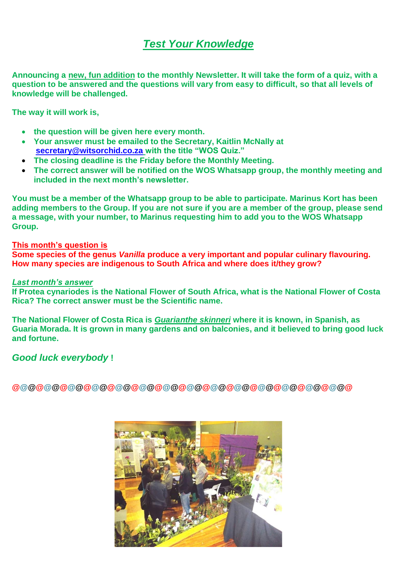## *Test Your Knowledge*

**Announcing a new, fun addition to the monthly Newsletter. It will take the form of a quiz, with a question to be answered and the questions will vary from easy to difficult, so that all levels of knowledge will be challenged.**

**The way it will work is,**

- **the question will be given here every month.**
- **Your answer must be emailed to the Secretary, Kaitlin McNally at [secretary@witsorchid.co.za](mailto:secretary@witsorchid.co.za) with the title "WOS Quiz."**
- **The closing deadline is the Friday before the Monthly Meeting.**
- **The correct answer will be notified on the WOS Whatsapp group, the monthly meeting and included in the next month's newsletter.**

**You must be a member of the Whatsapp group to be able to participate. Marinus Kort has been adding members to the Group. If you are not sure if you are a member of the group, please send a message, with your number, to Marinus requesting him to add you to the WOS Whatsapp Group.**

### **This month's question is**

**Some species of the genus** *Vanilla* **produce a very important and popular culinary flavouring. How many species are indigenous to South Africa and where does it/they grow?**

### *Last month's answer*

**If Protea cynariodes is the National Flower of South Africa, what is the National Flower of Costa Rica? The correct answer must be the Scientific name.**

**The National Flower of Costa Rica is** *Guarianthe skinneri* **where it is known, in Spanish, as Guaria Morada. It is grown in many gardens and on balconies, and it believed to bring good luck and fortune.**

### *Good luck everybody* **!**

**@@@@@@@@@@@@@@@@@@@@@@@@@@@@@@@@@@@@@@@@@@@**

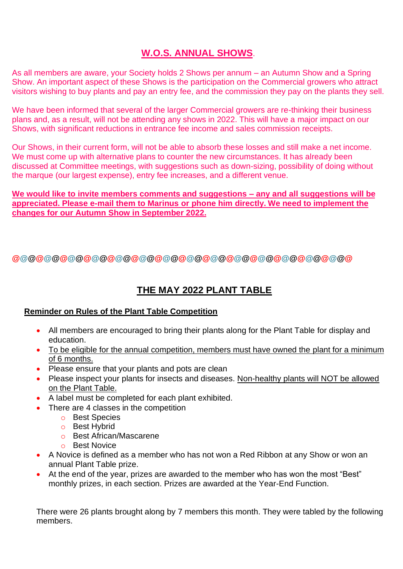### **W.O.S. ANNUAL SHOWS**.

As all members are aware, your Society holds 2 Shows per annum – an Autumn Show and a Spring Show. An important aspect of these Shows is the participation on the Commercial growers who attract visitors wishing to buy plants and pay an entry fee, and the commission they pay on the plants they sell.

We have been informed that several of the larger Commercial growers are re-thinking their business plans and, as a result, will not be attending any shows in 2022. This will have a major impact on our Shows, with significant reductions in entrance fee income and sales commission receipts.

Our Shows, in their current form, will not be able to absorb these losses and still make a net income. We must come up with alternative plans to counter the new circumstances. It has already been discussed at Committee meetings, with suggestions such as down-sizing, possibility of doing without the marque (our largest expense), entry fee increases, and a different venue.

**We would like to invite members comments and suggestions – any and all suggestions will be appreciated. Please e-mail them to Marinus or phone him directly. We need to implement the changes for our Autumn Show in September 2022.**

**@@@@@@@@@@@@@@@@@@@@@@@@@@@@@@@@@@@@@@@@@@@**

### **THE MAY 2022 PLANT TABLE**

### **Reminder on Rules of the Plant Table Competition**

- All members are encouraged to bring their plants along for the Plant Table for display and education.
- To be eligible for the annual competition, members must have owned the plant for a minimum of 6 months.
- Please ensure that your plants and pots are clean
- Please inspect your plants for insects and diseases. Non-healthy plants will NOT be allowed on the Plant Table.
- A label must be completed for each plant exhibited.
- There are 4 classes in the competition
	- o Best Species
	- o Best Hybrid
	- o Best African/Mascarene
	- o Best Novice
- A Novice is defined as a member who has not won a Red Ribbon at any Show or won an annual Plant Table prize.
- At the end of the year, prizes are awarded to the member who has won the most "Best" monthly prizes, in each section. Prizes are awarded at the Year-End Function.

There were 26 plants brought along by 7 members this month. They were tabled by the following members.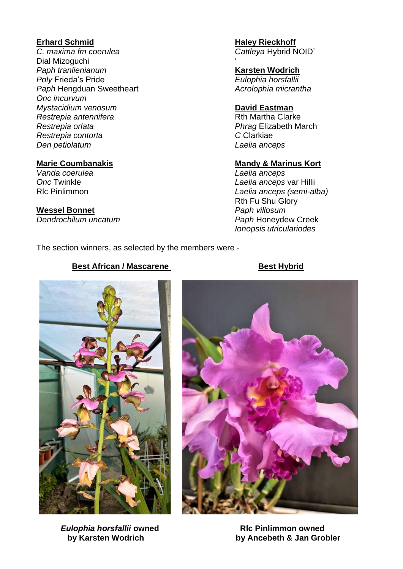### **Erhard Schmid**

*C. maxima fm coerulea* Dial Mizoguchi *Paph tranlienianum Poly* Frieda's Pride *Paph* Hengduan Sweetheart *Onc incurvum Mystacidium venosum Restrepia antennifera Restrepia orlata Restrepia contorta Den petiolatum*

### **Marie Coumbanakis**

*Vanda coerulea Onc* Twinkle Rlc Pinlimmon

### **Wessel Bonnet**

*Dendrochilum uncatum*

### **Haley Rieckhoff** *Cattleya* Hybrid NOID'

' **Karsten Wodrich** *Eulophia horsfallii Acrolophia micrantha*

### **David Eastman**

Rth Martha Clarke *Phrag* Elizabeth March *C* Clarkiae *Laelia anceps*

### **Mandy & Marinus Kort**

*Laelia anceps Laelia anceps* var Hillii *Laelia anceps (semi-alba)* Rth Fu Shu Glory *Paph villosum Paph* Honeydew Creek *Ionopsis utriculariodes*

The section winners, as selected by the members were -

# 

**Eulophia horsfallii owned** RIC Pinlimmon owned



 **by Karsten Wodrich by Ancebeth & Jan Grobler** 

### **Best African / Mascarene Best Hybrid**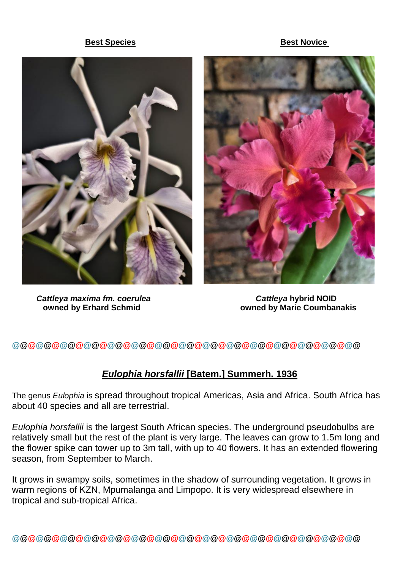### **Best Species** Best Novice





*Cattleya maxima fm. coerulea Cattleya* **hybrid NOID**

 **owned by Erhard Schmid owned by Marie Coumbanakis**

**@@@@@@@@@@@@@@@@@@@@@@@@@@@@@@@@@@@@@@@@@@@@**

### *Eulophia horsfallii* **[Batem.] Summerh. 1936**

The genus *Eulophia* is spread throughout tropical Americas, Asia and Africa. South Africa has about 40 species and all are terrestrial.

*Eulophia horsfallii* is the largest South African species. The underground pseudobulbs are relatively small but the rest of the plant is very large. The leaves can grow to 1.5m long and the flower spike can tower up to 3m tall, with up to 40 flowers. It has an extended flowering season, from September to March.

It grows in swampy soils, sometimes in the shadow of surrounding vegetation. It grows in warm regions of KZN, Mpumalanga and Limpopo. It is very widespread elsewhere in tropical and sub-tropical Africa.